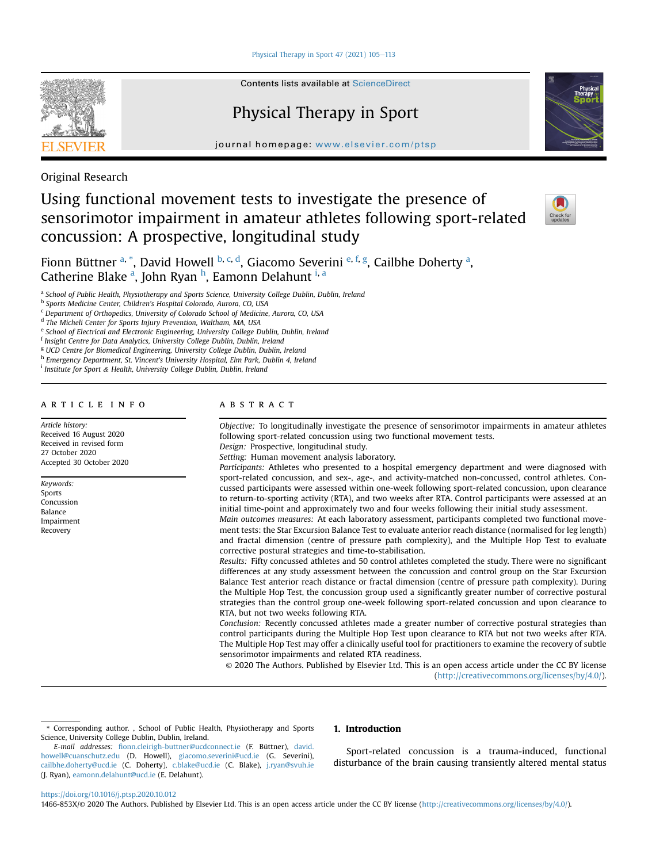Physical Therapy in Sport  $47$  (2021)  $105-113$  $105-113$ 



Contents lists available at ScienceDirect

# Physical Therapy in Sport

journal homepage: [www.elsevier.com/ptsp](http://www.elsevier.com/ptsp)

Original Research

# Using functional movement tests to investigate the presence of sensorimotor impairment in amateur athletes following sport-related concussion: A prospective, longitudinal study



Fionn Büttner <sup>[a,](#page-0-0) [\\*](#page-0-1)</sup>, David Howell <sup>[b](#page-0-2), [c](#page-0-3), [d](#page-0-4)</sup>, Giacomo Severini <sup>[e,](#page-0-5) [f](#page-0-6), [g](#page-0-7)</sup>, C[a](#page-0-0)ilbhe Doherty <sup>a</sup>, C[a](#page-0-0)t[h](#page-0-8)erine Blake <sup>a</sup>, John Ryan <sup>h</sup>, Eamonn Delahunt <sup>[i,](#page-0-9) a</sup>

<span id="page-0-0"></span>a School of Public Health, Physiotherapy and Sports Science, University College Dublin, Dublin, Ireland

<span id="page-0-2"></span><sup>b</sup> Sports Medicine Center, Children's Hospital Colorado, Aurora, CO, USA

<span id="page-0-3"></span><sup>c</sup> Department of Orthopedics, University of Colorado School of Medicine, Aurora, CO, USA

<span id="page-0-4"></span><sup>d</sup> The Micheli Center for Sports Injury Prevention, Waltham, MA, USA

<span id="page-0-5"></span>e School of Electrical and Electronic Engineering, University College Dublin, Dublin, Ireland

<span id="page-0-6"></span> $f$  Insight Centre for Data Analytics, University College Dublin, Dublin, Ireland

<span id="page-0-7"></span><sup>g</sup> UCD Centre for Biomedical Engineering, University College Dublin, Dublin, Ireland

<span id="page-0-8"></span>h Emergency Department, St. Vincent's University Hospital, Elm Park, Dublin 4, Ireland

<span id="page-0-9"></span><sup>i</sup> Institute for Sport & Health, University College Dublin, Dublin, Ireland

# article info

Article history: Received 16 August 2020 Received in revised form 27 October 2020 Accepted 30 October 2020

Keywords: Sports Concussion Balance Impairment Recovery

# ABSTRACT

Objective: To longitudinally investigate the presence of sensorimotor impairments in amateur athletes following sport-related concussion using two functional movement tests.

Design: Prospective, longitudinal study. Setting: Human movement analysis laboratory.

Participants: Athletes who presented to a hospital emergency department and were diagnosed with sport-related concussion, and sex-, age-, and activity-matched non-concussed, control athletes. Concussed participants were assessed within one-week following sport-related concussion, upon clearance to return-to-sporting activity (RTA), and two weeks after RTA. Control participants were assessed at an initial time-point and approximately two and four weeks following their initial study assessment.

Main outcomes measures: At each laboratory assessment, participants completed two functional movement tests: the Star Excursion Balance Test to evaluate anterior reach distance (normalised for leg length) and fractal dimension (centre of pressure path complexity), and the Multiple Hop Test to evaluate corrective postural strategies and time-to-stabilisation.

Results: Fifty concussed athletes and 50 control athletes completed the study. There were no significant differences at any study assessment between the concussion and control group on the Star Excursion Balance Test anterior reach distance or fractal dimension (centre of pressure path complexity). During the Multiple Hop Test, the concussion group used a significantly greater number of corrective postural strategies than the control group one-week following sport-related concussion and upon clearance to RTA, but not two weeks following RTA.

Conclusion: Recently concussed athletes made a greater number of corrective postural strategies than control participants during the Multiple Hop Test upon clearance to RTA but not two weeks after RTA. The Multiple Hop Test may offer a clinically useful tool for practitioners to examine the recovery of subtle sensorimotor impairments and related RTA readiness.

© 2020 The Authors. Published by Elsevier Ltd. This is an open access article under the CC BY license [\(http://creativecommons.org/licenses/by/4.0/](http://creativecommons.org/licenses/by/4.0/)).

<span id="page-0-1"></span>\* Corresponding author. , School of Public Health, Physiotherapy and Sports Science, University College Dublin, Dublin, Ireland.

# 1. Introduction

Sport-related concussion is a trauma-induced, functional disturbance of the brain causing transiently altered mental status

#### <https://doi.org/10.1016/j.ptsp.2020.10.012>

1466-853X/© 2020 The Authors. Published by Elsevier Ltd. This is an open access article under the CC BY license [\(http://creativecommons.org/licenses/by/4.0/\)](http://creativecommons.org/licenses/by/4.0/).

E-mail addresses: fi[onn.cleirigh-buttner@ucdconnect.ie](mailto:fionn.cleirigh-buttner@ucdconnect.ie) (F. Büttner), [david.](mailto:david.howell@cuanschutz.edu) [howell@cuanschutz.edu](mailto:david.howell@cuanschutz.edu) (D. Howell), [giacomo.severini@ucd.ie](mailto:giacomo.severini@ucd.ie) (G. Severini), [cailbhe.doherty@ucd.ie](mailto:cailbhe.doherty@ucd.ie) (C. Doherty), [c.blake@ucd.ie](mailto:c.blake@ucd.ie) (C. Blake), [j.ryan@svuh.ie](mailto:j.ryan@svuh.ie) (J. Ryan), [eamonn.delahunt@ucd.ie](mailto:eamonn.delahunt@ucd.ie) (E. Delahunt).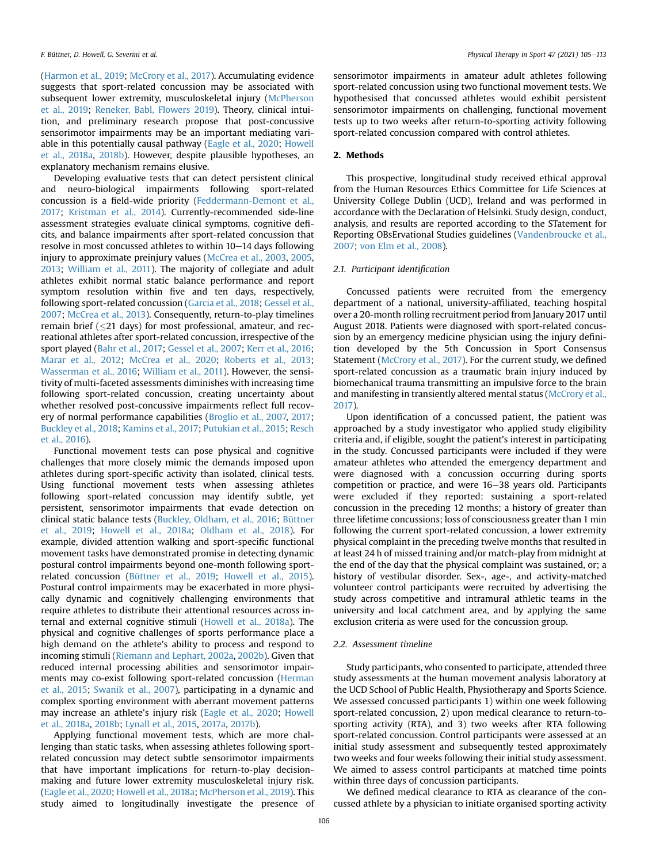([Harmon et al., 2019](#page-7-0); [McCrory et al., 2017\)](#page-8-0). Accumulating evidence suggests that sport-related concussion may be associated with subsequent lower extremity, musculoskeletal injury ([McPherson](#page-8-1) [et al., 2019](#page-8-1); [Reneker, Babl, Flowers 2019\)](#page-8-2). Theory, clinical intuition, and preliminary research propose that post-concussive sensorimotor impairments may be an important mediating variable in this potentially causal pathway ([Eagle et al., 2020](#page-7-1); [Howell](#page-7-2) [et al., 2018a](#page-7-2), [2018b\)](#page-7-3). However, despite plausible hypotheses, an explanatory mechanism remains elusive.

Developing evaluative tests that can detect persistent clinical and neuro-biological impairments following sport-related concussion is a field-wide priority [\(Feddermann-Demont et al.,](#page-7-4) [2017;](#page-7-4) [Kristman et al., 2014\)](#page-7-5). Currently-recommended side-line assessment strategies evaluate clinical symptoms, cognitive deficits, and balance impairments after sport-related concussion that resolve in most concussed athletes to within  $10-14$  days following injury to approximate preinjury values [\(McCrea et al., 2003](#page-8-3), [2005,](#page-8-4) [2013;](#page-8-5) [William et al., 2011](#page-8-6)). The majority of collegiate and adult athletes exhibit normal static balance performance and report symptom resolution within five and ten days, respectively, following sport-related concussion ([Garcia et al., 2018](#page-7-6); [Gessel et al.,](#page-7-7) [2007;](#page-7-7) [McCrea et al., 2013](#page-8-5)). Consequently, return-to-play timelines remain brief ( $\leq$ 21 days) for most professional, amateur, and recreational athletes after sport-related concussion, irrespective of the sport played ([Bahr et al., 2017](#page-6-0); [Gessel et al., 2007](#page-7-7); [Kerr et al., 2016;](#page-7-8) [Marar et al., 2012](#page-8-7); [McCrea et al., 2020;](#page-8-8) [Roberts et al., 2013;](#page-8-9) [Wasserman et al., 2016;](#page-8-10) [William et al., 2011](#page-8-6)). However, the sensitivity of multi-faceted assessments diminishes with increasing time following sport-related concussion, creating uncertainty about whether resolved post-concussive impairments reflect full recovery of normal performance capabilities ([Broglio et al., 2007,](#page-7-9) [2017;](#page-7-10) [Buckley et al., 2018](#page-7-11); [Kamins et al., 2017](#page-7-12); [Putukian et al., 2015](#page-8-11); [Resch](#page-8-12) [et al., 2016\)](#page-8-12).

Functional movement tests can pose physical and cognitive challenges that more closely mimic the demands imposed upon athletes during sport-specific activity than isolated, clinical tests. Using functional movement tests when assessing athletes following sport-related concussion may identify subtle, yet persistent, sensorimotor impairments that evade detection on clinical static balance tests ([Buckley, Oldham, et al., 2016](#page-7-13); [Büttner](#page-7-14) [et al., 2019](#page-7-14); [Howell et al., 2018a;](#page-7-2) [Oldham et al., 2018](#page-8-13)). For example, divided attention walking and sport-specific functional movement tasks have demonstrated promise in detecting dynamic postural control impairments beyond one-month following sportrelated concussion ([Büttner et al., 2019](#page-7-14); [Howell et al., 2015\)](#page-7-15). Postural control impairments may be exacerbated in more physically dynamic and cognitively challenging environments that require athletes to distribute their attentional resources across internal and external cognitive stimuli ([Howell et al., 2018a](#page-7-2)). The physical and cognitive challenges of sports performance place a high demand on the athlete's ability to process and respond to incoming stimuli ([Riemann and Lephart, 2002a,](#page-8-14) [2002b\)](#page-8-15). Given that reduced internal processing abilities and sensorimotor impairments may co-exist following sport-related concussion [\(Herman](#page-7-16) [et al., 2015](#page-7-16); [Swanik et al., 2007\)](#page-8-16), participating in a dynamic and complex sporting environment with aberrant movement patterns may increase an athlete's injury risk [\(Eagle et al., 2020](#page-7-1); [Howell](#page-7-2) [et al., 2018a,](#page-7-2) [2018b;](#page-7-3) [Lynall et al., 2015,](#page-8-17) [2017a,](#page-7-17) [2017b\)](#page-8-18).

Applying functional movement tests, which are more challenging than static tasks, when assessing athletes following sportrelated concussion may detect subtle sensorimotor impairments that have important implications for return-to-play decisionmaking and future lower extremity musculoskeletal injury risk. ([Eagle et al., 2020](#page-7-1); [Howell et al., 2018a;](#page-7-2) [McPherson et al., 2019\)](#page-8-1). This study aimed to longitudinally investigate the presence of sensorimotor impairments in amateur adult athletes following sport-related concussion using two functional movement tests. We hypothesised that concussed athletes would exhibit persistent sensorimotor impairments on challenging, functional movement tests up to two weeks after return-to-sporting activity following sport-related concussion compared with control athletes.

### 2. Methods

This prospective, longitudinal study received ethical approval from the Human Resources Ethics Committee for Life Sciences at University College Dublin (UCD), Ireland and was performed in accordance with the Declaration of Helsinki. Study design, conduct, analysis, and results are reported according to the STatement for Reporting OBsErvational Studies guidelines ([Vandenbroucke et al.,](#page-8-19) [2007;](#page-8-19) [von Elm et al., 2008\)](#page-7-18).

# 2.1. Participant identification

Concussed patients were recruited from the emergency department of a national, university-affiliated, teaching hospital over a 20-month rolling recruitment period from January 2017 until August 2018. Patients were diagnosed with sport-related concussion by an emergency medicine physician using the injury definition developed by the 5th Concussion in Sport Consensus Statement [\(McCrory et al., 2017\)](#page-8-0). For the current study, we defined sport-related concussion as a traumatic brain injury induced by biomechanical trauma transmitting an impulsive force to the brain and manifesting in transiently altered mental status [\(McCrory et al.,](#page-8-0) [2017\)](#page-8-0).

Upon identification of a concussed patient, the patient was approached by a study investigator who applied study eligibility criteria and, if eligible, sought the patient's interest in participating in the study. Concussed participants were included if they were amateur athletes who attended the emergency department and were diagnosed with a concussion occurring during sports competition or practice, and were 16–38 years old. Participants were excluded if they reported: sustaining a sport-related concussion in the preceding 12 months; a history of greater than three lifetime concussions; loss of consciousness greater than 1 min following the current sport-related concussion, a lower extremity physical complaint in the preceding twelve months that resulted in at least 24 h of missed training and/or match-play from midnight at the end of the day that the physical complaint was sustained, or; a history of vestibular disorder. Sex-, age-, and activity-matched volunteer control participants were recruited by advertising the study across competitive and intramural athletic teams in the university and local catchment area, and by applying the same exclusion criteria as were used for the concussion group.

# 2.2. Assessment timeline

Study participants, who consented to participate, attended three study assessments at the human movement analysis laboratory at the UCD School of Public Health, Physiotherapy and Sports Science. We assessed concussed participants 1) within one week following sport-related concussion, 2) upon medical clearance to return-tosporting activity (RTA), and 3) two weeks after RTA following sport-related concussion. Control participants were assessed at an initial study assessment and subsequently tested approximately two weeks and four weeks following their initial study assessment. We aimed to assess control participants at matched time points within three days of concussion participants.

We defined medical clearance to RTA as clearance of the concussed athlete by a physician to initiate organised sporting activity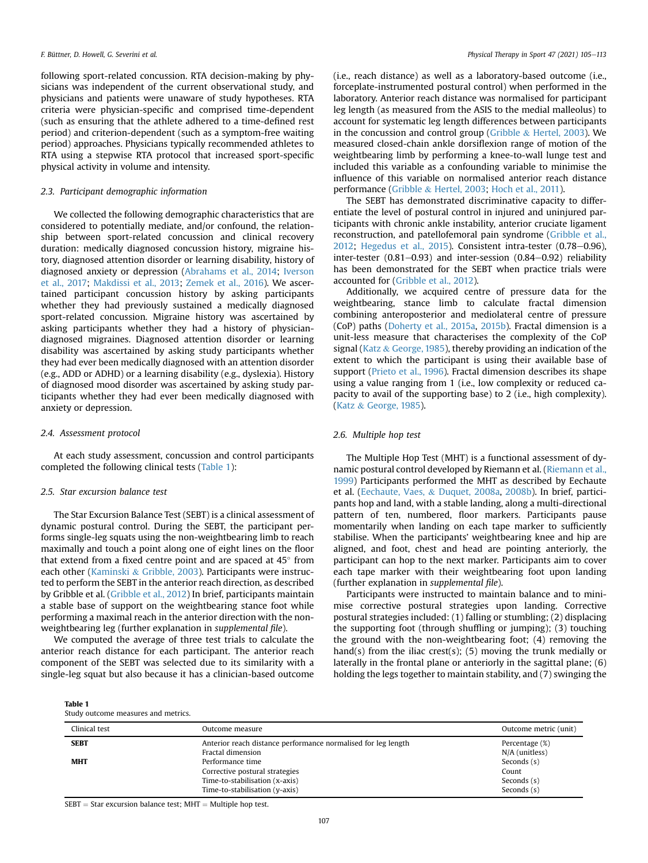following sport-related concussion. RTA decision-making by physicians was independent of the current observational study, and physicians and patients were unaware of study hypotheses. RTA criteria were physician-specific and comprised time-dependent (such as ensuring that the athlete adhered to a time-defined rest period) and criterion-dependent (such as a symptom-free waiting period) approaches. Physicians typically recommended athletes to RTA using a stepwise RTA protocol that increased sport-specific physical activity in volume and intensity.

### 2.3. Participant demographic information

We collected the following demographic characteristics that are considered to potentially mediate, and/or confound, the relationship between sport-related concussion and clinical recovery duration: medically diagnosed concussion history, migraine history, diagnosed attention disorder or learning disability, history of diagnosed anxiety or depression ([Abrahams et al., 2014](#page-6-1); [Iverson](#page-7-19) [et al., 2017;](#page-7-19) [Makdissi et al., 2013](#page-8-20); [Zemek et al., 2016](#page-8-21)). We ascertained participant concussion history by asking participants whether they had previously sustained a medically diagnosed sport-related concussion. Migraine history was ascertained by asking participants whether they had a history of physiciandiagnosed migraines. Diagnosed attention disorder or learning disability was ascertained by asking study participants whether they had ever been medically diagnosed with an attention disorder (e.g., ADD or ADHD) or a learning disability (e.g., dyslexia). History of diagnosed mood disorder was ascertained by asking study participants whether they had ever been medically diagnosed with anxiety or depression.

#### 2.4. Assessment protocol

At each study assessment, concussion and control participants completed the following clinical tests [\(Table 1](#page-2-0)):

#### 2.5. Star excursion balance test

The Star Excursion Balance Test (SEBT) is a clinical assessment of dynamic postural control. During the SEBT, the participant performs single-leg squats using the non-weightbearing limb to reach maximally and touch a point along one of eight lines on the floor that extend from a fixed centre point and are spaced at  $45^{\circ}$  from each other ([Kaminski](#page-7-20) & [Gribble, 2003](#page-7-20)). Participants were instructed to perform the SEBT in the anterior reach direction, as described by Gribble et al. ([Gribble et al., 2012\)](#page-7-21) In brief, participants maintain a stable base of support on the weightbearing stance foot while performing a maximal reach in the anterior direction with the nonweightbearing leg (further explanation in supplemental file).

We computed the average of three test trials to calculate the anterior reach distance for each participant. The anterior reach component of the SEBT was selected due to its similarity with a single-leg squat but also because it has a clinician-based outcome

F. Büttner, D. Howell, G. Severini et al. **Physical Therapy in Sport 47 (2021)** 105-113

(i.e., reach distance) as well as a laboratory-based outcome (i.e., forceplate-instrumented postural control) when performed in the laboratory. Anterior reach distance was normalised for participant leg length (as measured from the ASIS to the medial malleolus) to account for systematic leg length differences between participants in the concussion and control group ([Gribble](#page-7-22)  $\&$  [Hertel, 2003](#page-7-22)). We measured closed-chain ankle dorsiflexion range of motion of the weightbearing limb by performing a knee-to-wall lunge test and included this variable as a confounding variable to minimise the influence of this variable on normalised anterior reach distance performance [\(Gribble](#page-7-22) & [Hertel, 2003;](#page-7-22) [Hoch et al., 2011\)](#page-7-23).

The SEBT has demonstrated discriminative capacity to differentiate the level of postural control in injured and uninjured participants with chronic ankle instability, anterior cruciate ligament reconstruction, and patellofemoral pain syndrome ([Gribble et al.,](#page-7-21)  $2012$ ; Hegedus et al.,  $2015$ ). Consistent intra-tester  $(0.78-0.96)$ , inter-tester  $(0.81-0.93)$  and inter-session  $(0.84-0.92)$  reliability has been demonstrated for the SEBT when practice trials were accounted for ([Gribble et al., 2012](#page-7-21)).

Additionally, we acquired centre of pressure data for the weightbearing, stance limb to calculate fractal dimension combining anteroposterior and mediolateral centre of pressure (CoP) paths ([Doherty et al., 2015a](#page-7-25), [2015b\)](#page-7-26). Fractal dimension is a unit-less measure that characterises the complexity of the CoP signal ([Katz](#page-7-27) & [George, 1985\)](#page-7-27), thereby providing an indication of the extent to which the participant is using their available base of support ([Prieto et al., 1996\)](#page-8-22). Fractal dimension describes its shape using a value ranging from 1 (i.e., low complexity or reduced capacity to avail of the supporting base) to 2 (i.e., high complexity). ([Katz](#page-7-27) & [George, 1985\)](#page-7-27).

# 2.6. Multiple hop test

The Multiple Hop Test (MHT) is a functional assessment of dynamic postural control developed by Riemann et al. ([Riemann et al.,](#page-8-23) [1999](#page-8-23)) Participants performed the MHT as described by Eechaute et al. ([Eechaute, Vaes,](#page-7-28) & [Duquet, 2008a,](#page-7-28) [2008b\)](#page-7-29). In brief, participants hop and land, with a stable landing, along a multi-directional pattern of ten, numbered, floor markers. Participants pause momentarily when landing on each tape marker to sufficiently stabilise. When the participants' weightbearing knee and hip are aligned, and foot, chest and head are pointing anteriorly, the participant can hop to the next marker. Participants aim to cover each tape marker with their weightbearing foot upon landing (further explanation in supplemental file).

Participants were instructed to maintain balance and to minimise corrective postural strategies upon landing. Corrective postural strategies included: (1) falling or stumbling; (2) displacing the supporting foot (through shuffling or jumping); (3) touching the ground with the non-weightbearing foot; (4) removing the hand(s) from the iliac crest(s); (5) moving the trunk medially or laterally in the frontal plane or anteriorly in the sagittal plane; (6) holding the legs together to maintain stability, and (7) swinging the

<span id="page-2-0"></span>Table 1 Study outcome measures and metrics.

| Clinical test | Outcome measure                                               | Outcome metric (unit) |
|---------------|---------------------------------------------------------------|-----------------------|
| <b>SEBT</b>   | Anterior reach distance performance normalised for leg length | Percentage (%)        |
|               | Fractal dimension                                             | $N/A$ (unitless)      |
| <b>MHT</b>    | Performance time                                              | Seconds (s)           |
|               | Corrective postural strategies                                | Count                 |
|               | Time-to-stabilisation (x-axis)                                | Seconds (s)           |
|               | Time-to-stabilisation (y-axis)                                | Seconds (s)           |

 $SEBT = Star$  excursion balance test; MHT = Multiple hop test.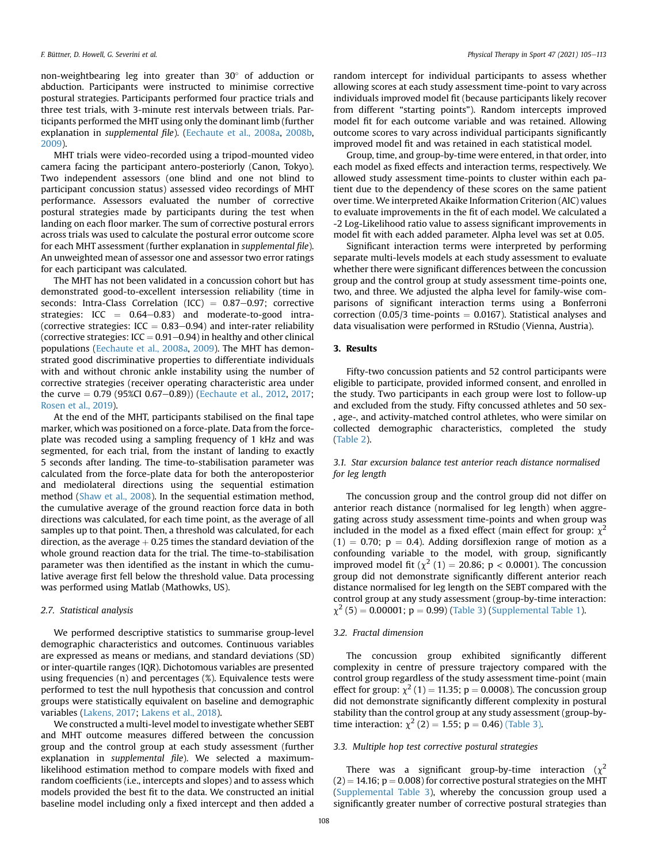non-weightbearing leg into greater than 30° of adduction or abduction. Participants were instructed to minimise corrective postural strategies. Participants performed four practice trials and three test trials, with 3-minute rest intervals between trials. Participants performed the MHT using only the dominant limb (further explanation in supplemental file). [\(Eechaute et al., 2008a](#page-7-28), [2008b,](#page-7-29) [2009\)](#page-7-30).

MHT trials were video-recorded using a tripod-mounted video camera facing the participant antero-posteriorly (Canon, Tokyo). Two independent assessors (one blind and one not blind to participant concussion status) assessed video recordings of MHT performance. Assessors evaluated the number of corrective postural strategies made by participants during the test when landing on each floor marker. The sum of corrective postural errors across trials was used to calculate the postural error outcome score for each MHT assessment (further explanation in supplemental file). An unweighted mean of assessor one and assessor two error ratings for each participant was calculated.

The MHT has not been validated in a concussion cohort but has demonstrated good-to-excellent intersession reliability (time in seconds: Intra-Class Correlation (ICC) =  $0.87-0.97$ ; corrective strategies:  $ICC = 0.64-0.83)$  and moderate-to-good intra-(corrective strategies:  $ICC = 0.83-0.94$ ) and inter-rater reliability (corrective strategies:  $ICC = 0.91 - 0.94$ ) in healthy and other clinical populations [\(Eechaute et al., 2008a,](#page-7-28) [2009\)](#page-7-30). The MHT has demonstrated good discriminative properties to differentiate individuals with and without chronic ankle instability using the number of corrective strategies (receiver operating characteristic area under the curve  $= 0.79$  (95%CI 0.67–0.89)) ([Eechaute et al., 2012](#page-7-31), [2017;](#page-7-32) [Rosen et al., 2019\)](#page-8-24).

At the end of the MHT, participants stabilised on the final tape marker, which was positioned on a force-plate. Data from the forceplate was recoded using a sampling frequency of 1 kHz and was segmented, for each trial, from the instant of landing to exactly 5 seconds after landing. The time-to-stabilisation parameter was calculated from the force-plate data for both the anteroposterior and mediolateral directions using the sequential estimation method ([Shaw et al., 2008\)](#page-8-25). In the sequential estimation method, the cumulative average of the ground reaction force data in both directions was calculated, for each time point, as the average of all samples up to that point. Then, a threshold was calculated, for each direction, as the average  $+$  0.25 times the standard deviation of the whole ground reaction data for the trial. The time-to-stabilisation parameter was then identified as the instant in which the cumulative average first fell below the threshold value. Data processing was performed using Matlab (Mathowks, US).

# 2.7. Statistical analysis

We performed descriptive statistics to summarise group-level demographic characteristics and outcomes. Continuous variables are expressed as means or medians, and standard deviations (SD) or inter-quartile ranges (IQR). Dichotomous variables are presented using frequencies (n) and percentages (%). Equivalence tests were performed to test the null hypothesis that concussion and control groups were statistically equivalent on baseline and demographic variables ([Lakens, 2017;](#page-7-33) [Lakens et al., 2018](#page-7-34)).

We constructed a multi-level model to investigate whether SEBT and MHT outcome measures differed between the concussion group and the control group at each study assessment (further explanation in supplemental file). We selected a maximumlikelihood estimation method to compare models with fixed and random coefficients (i.e., intercepts and slopes) and to assess which models provided the best fit to the data. We constructed an initial baseline model including only a fixed intercept and then added a

random intercept for individual participants to assess whether allowing scores at each study assessment time-point to vary across individuals improved model fit (because participants likely recover from different "starting points"). Random intercepts improved model fit for each outcome variable and was retained. Allowing outcome scores to vary across individual participants significantly improved model fit and was retained in each statistical model.

Group, time, and group-by-time were entered, in that order, into each model as fixed effects and interaction terms, respectively. We allowed study assessment time-points to cluster within each patient due to the dependency of these scores on the same patient over time. We interpreted Akaike Information Criterion (AIC) values to evaluate improvements in the fit of each model. We calculated a -2 Log-Likelihood ratio value to assess significant improvements in model fit with each added parameter. Alpha level was set at 0.05.

Significant interaction terms were interpreted by performing separate multi-levels models at each study assessment to evaluate whether there were significant differences between the concussion group and the control group at study assessment time-points one, two, and three. We adjusted the alpha level for family-wise comparisons of significant interaction terms using a Bonferroni correction  $(0.05/3$  time-points = 0.0167). Statistical analyses and data visualisation were performed in RStudio (Vienna, Austria).

# 3. Results

Fifty-two concussion patients and 52 control participants were eligible to participate, provided informed consent, and enrolled in the study. Two participants in each group were lost to follow-up and excluded from the study. Fifty concussed athletes and 50 sex- , age-, and activity-matched control athletes, who were similar on collected demographic characteristics, completed the study ([Table 2\)](#page-4-0).

# 3.1. Star excursion balance test anterior reach distance normalised for leg length

The concussion group and the control group did not differ on anterior reach distance (normalised for leg length) when aggregating across study assessment time-points and when group was included in the model as a fixed effect (main effect for group:  $\chi^2$  $(1) = 0.70$ ;  $p = 0.4$ ). Adding dorsiflexion range of motion as a confounding variable to the model, with group, significantly improved model fit ( $\chi^2$  (1) = 20.86; p < 0.0001). The concussion group did not demonstrate significantly different anterior reach distance normalised for leg length on the SEBT compared with the control group at any study assessment (group-by-time interaction:  $\chi^2$  (5) = 0.00001; p = 0.99) ([Table 3\)](#page-4-1) (Supplemental Table 1).

# 3.2. Fractal dimension

The concussion group exhibited significantly different complexity in centre of pressure trajectory compared with the control group regardless of the study assessment time-point (main effect for group:  $\chi^2$  (1) = 11.35; p = 0.0008). The concussion group did not demonstrate significantly different complexity in postural stability than the control group at any study assessment (group-bytime interaction:  $\chi^2$  (2) = 1.55; p = 0.46) [\(Table 3\).](#page-4-1)

#### 3.3. Multiple hop test corrective postural strategies

There was a significant group-by-time interaction ( $\chi^2$  $(2) = 14.16$ ;  $p = 0.008$ ) for corrective postural strategies on the MHT (Supplemental Table 3), whereby the concussion group used a significantly greater number of corrective postural strategies than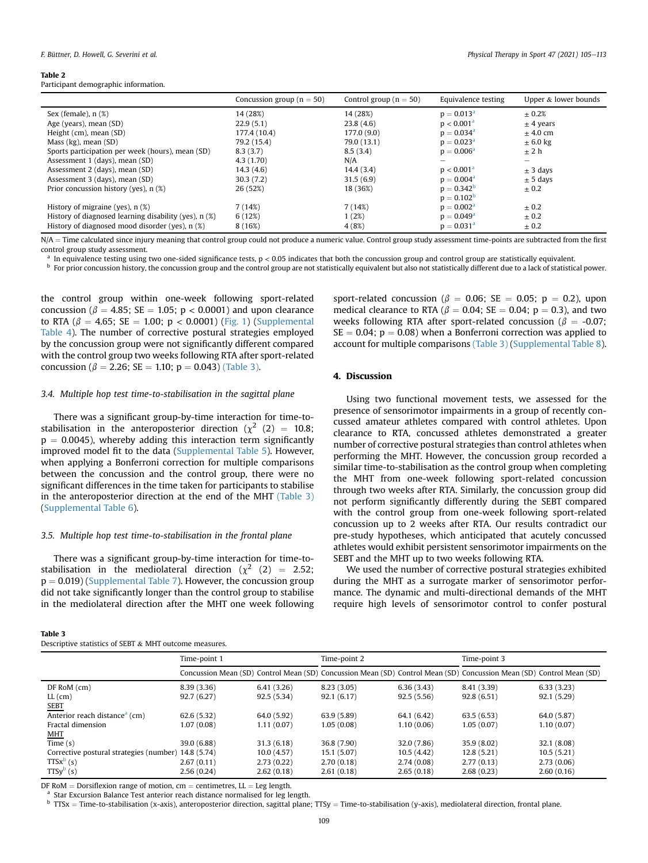#### <span id="page-4-0"></span>Table 2

Participant demographic information.

|                                                         | Concussion group ( $n = 50$ ) | Control group ( $n = 50$ ) | Equivalence testing    | Upper & lower bounds     |
|---------------------------------------------------------|-------------------------------|----------------------------|------------------------|--------------------------|
| Sex (female), $n$ $(\%)$                                | 14 (28%)                      | 14 (28%)                   | $p = 0.013^a$          | $\pm 0.2\%$              |
| Age (years), mean (SD)                                  | 22.9(5.1)                     | 23.8(4.6)                  | p < 0.001 <sup>a</sup> | $\pm$ 4 years            |
| Height (cm), mean (SD)                                  | 177.4 (10.4)                  | 177.0(9.0)                 | $p = 0.034^a$          | $+4.0$ cm                |
| Mass (kg), mean (SD)                                    | 79.2 (15.4)                   | 79.0 (13.1)                | $p = 0.023^a$          | $\pm$ 6.0 kg             |
| Sports participation per week (hours), mean (SD)        | 8.3(3.7)                      | 8.5(3.4)                   | $p = 0.006^a$          | ± 2 h                    |
| Assessment 1 (days), mean (SD)                          | 4.3(1.70)                     | N/A                        |                        | $\overline{\phantom{0}}$ |
| Assessment 2 (days), mean (SD)                          | 14.3(4.6)                     | 14.4(3.4)                  | $p < 0.001^a$          | $\pm$ 3 days             |
| Assessment 3 (days), mean (SD)                          | 30.3(7.2)                     | 31.5(6.9)                  | $p = 0.004^a$          | $\pm$ 5 days             |
| Prior concussion history (yes), n (%)                   | 26 (52%)                      | 18 (36%)                   | $p = 0.342^b$          | $\pm 0.2$                |
|                                                         |                               |                            | $p = 0.102^{b}$        |                          |
| History of migraine (yes), $n$ (%)                      | 7(14%)                        | 7(14%)                     | $p = 0.002^a$          | $\pm 0.2$                |
| History of diagnosed learning disability (yes), $n$ (%) | 6(12%)                        | 1(2%)                      | $p = 0.049^a$          | $\pm 0.2$                |
| History of diagnosed mood disorder (yes), n (%)         | 8 (16%)                       | 4 (8%)                     | $p = 0.031a$           | $\pm 0.2$                |

N/A = Time calculated since injury meaning that control group could not produce a numeric value. Control group study assessment time-points are subtracted from the first control group study assessment.

<span id="page-4-2"></span>In equivalence testing using two one-sided significance tests,  $p < 0.05$  indicates that both the concussion group and control group are statistically equivalent.

<span id="page-4-3"></span><sup>b</sup> For prior concussion history, the concussion group and the control group are not statistically equivalent but also not statistically different due to a lack of statistical power.

the control group within one-week following sport-related concussion ( $\beta = 4.85$ ; SE = 1.05; p < 0.0001) and upon clearance to RTA ( $\beta = 4.65$ ; SE = 1.00; p < 0.0001) [\(Fig. 1\)](#page-5-0) (Supplemental Table 4). The number of corrective postural strategies employed by the concussion group were not significantly different compared with the control group two weeks following RTA after sport-related concussion ( $\beta = 2.26$ ; SE = 1.10; p = 0.043) [\(Table 3\).](#page-4-1)

# 3.4. Multiple hop test time-to-stabilisation in the sagittal plane

There was a significant group-by-time interaction for time-tostabilisation in the anteroposterior direction ( $\chi^2$  (2) = 10.8;  $p = 0.0045$ ), whereby adding this interaction term significantly improved model fit to the data (Supplemental Table 5). However, when applying a Bonferroni correction for multiple comparisons between the concussion and the control group, there were no significant differences in the time taken for participants to stabilise in the anteroposterior direction at the end of the MHT [\(Table 3\)](#page-4-1) (Supplemental Table 6).

#### 3.5. Multiple hop test time-to-stabilisation in the frontal plane

There was a significant group-by-time interaction for time-tostabilisation in the mediolateral direction ( $\chi^2$  (2) = 2.52;  $p = 0.019$ ) (Supplemental Table 7). However, the concussion group did not take significantly longer than the control group to stabilise in the mediolateral direction after the MHT one week following

# <span id="page-4-1"></span>Table 3

sport-related concussion ( $\beta = 0.06$ ; SE = 0.05; p = 0.2), upon medical clearance to RTA ( $\beta = 0.04$ ; SE = 0.04; p = 0.3), and two weeks following RTA after sport-related concussion ( $\beta = -0.07$ ;  $SE = 0.04$ ;  $p = 0.08$ ) when a Bonferroni correction was applied to account for multiple comparisons [\(Table 3\)](#page-4-1) (Supplemental Table 8).

# 4. Discussion

Using two functional movement tests, we assessed for the presence of sensorimotor impairments in a group of recently concussed amateur athletes compared with control athletes. Upon clearance to RTA, concussed athletes demonstrated a greater number of corrective postural strategies than control athletes when performing the MHT. However, the concussion group recorded a similar time-to-stabilisation as the control group when completing the MHT from one-week following sport-related concussion through two weeks after RTA. Similarly, the concussion group did not perform significantly differently during the SEBT compared with the control group from one-week following sport-related concussion up to 2 weeks after RTA. Our results contradict our pre-study hypotheses, which anticipated that acutely concussed athletes would exhibit persistent sensorimotor impairments on the SEBT and the MHT up to two weeks following RTA.

We used the number of corrective postural strategies exhibited during the MHT as a surrogate marker of sensorimotor performance. The dynamic and multi-directional demands of the MHT require high levels of sensorimotor control to confer postural

|                                                     | Time-point 1 |             | Time-point 2 |             | Time-point 3                                                                                                         |             |
|-----------------------------------------------------|--------------|-------------|--------------|-------------|----------------------------------------------------------------------------------------------------------------------|-------------|
|                                                     |              |             |              |             | Concussion Mean (SD) Control Mean (SD) Concussion Mean (SD) Control Mean (SD) Concussion Mean (SD) Control Mean (SD) |             |
| $DF$ RoM $(cm)$                                     | 8.39(3.36)   | 6.41(3.26)  | 8.23(3.05)   | 6.36(3.43)  | 8.41 (3.39)                                                                                                          | 6.33(3.23)  |
| $LL$ (cm)                                           | 92.7(6.27)   | 92.5(5.34)  | 92.1(6.17)   | 92.5(5.56)  | 92.8(6.51)                                                                                                           | 92.1 (5.29) |
| SEBT                                                |              |             |              |             |                                                                                                                      |             |
| Anterior reach distance <sup>a</sup> (cm)           | 62.6(5.32)   | 64.0 (5.92) | 63.9(5.89)   | 64.1 (6.42) | 63.5(6.53)                                                                                                           | 64.0 (5.87) |
| Fractal dimension                                   | 1.07 (0.08)  | 1.11(0.07)  | 1.05(0.08)   | 1.10(0.06)  | 1.05(0.07)                                                                                                           | 1.10(0.07)  |
| MHT                                                 |              |             |              |             |                                                                                                                      |             |
| Time $(s)$                                          | 39.0 (6.88)  | 31.3(6.18)  | 36.8 (7.90)  | 32.0 (7.86) | 35.9(8.02)                                                                                                           | 32.1 (8.08) |
| Corrective postural strategies (number) 14.8 (5.74) |              | 10.0(4.57)  | 15.1(5.07)   | 10.5(4.42)  | 12.8(5.21)                                                                                                           | 10.5(5.21)  |
| $TTSx^b(s)$                                         | 2.67(0.11)   | 2.73(0.22)  | 2.70(0.18)   | 2.74(0.08)  | 2.77(0.13)                                                                                                           | 2.73(0.06)  |
| $TTSy^b(s)$                                         | 2.56(0.24)   | 2.62(0.18)  | 2.61(0.18)   | 2.65(0.18)  | 2,68(0.23)                                                                                                           | 2.60(0.16)  |

<span id="page-4-4"></span>DF RoM = Dorsiflexion range of motion, cm = centimetres, LL = Leg length. <br><sup>a</sup> Star Excursion Balance Test anterior reach distance normalised for leg length.

<span id="page-4-5"></span>b TTSx = Time-to-stabilisation (x-axis), anteroposterior direction, sagittal plane; TTSy = Time-to-stabilisation (y-axis), mediolateral direction, frontal plane.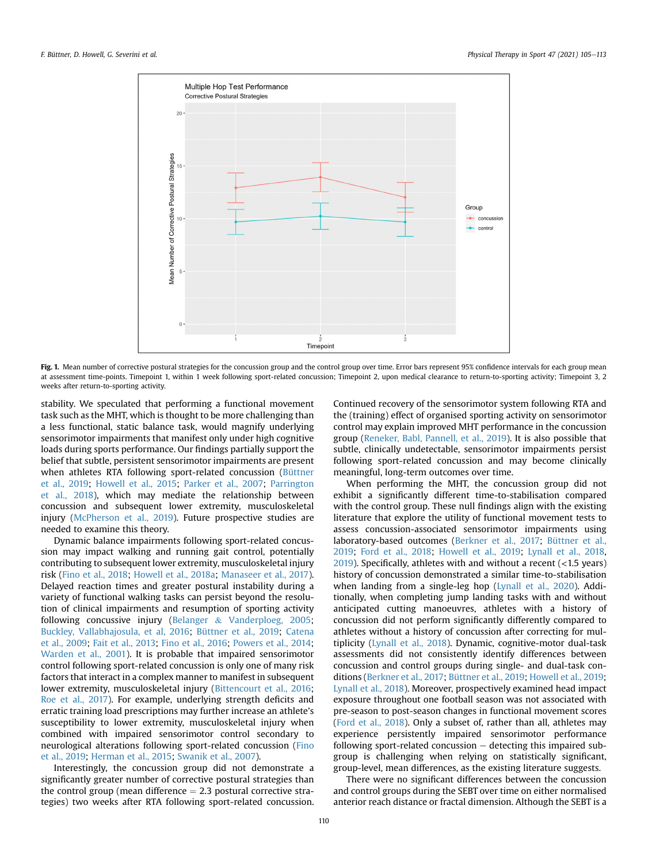<span id="page-5-0"></span>

Fig. 1. Mean number of corrective postural strategies for the concussion group and the control group over time. Error bars represent 95% confidence intervals for each group mean at assessment time-points. Timepoint 1, within 1 week following sport-related concussion; Timepoint 2, upon medical clearance to return-to-sporting activity; Timepoint 3, 2 weeks after return-to-sporting activity.

stability. We speculated that performing a functional movement task such as the MHT, which is thought to be more challenging than a less functional, static balance task, would magnify underlying sensorimotor impairments that manifest only under high cognitive loads during sports performance. Our findings partially support the belief that subtle, persistent sensorimotor impairments are present when athletes RTA following sport-related concussion [\(Büttner](#page-7-14) [et al., 2019](#page-7-14); [Howell et al., 2015](#page-7-15); [Parker et al., 2007;](#page-8-26) [Parrington](#page-8-27) [et al., 2018\)](#page-8-27), which may mediate the relationship between concussion and subsequent lower extremity, musculoskeletal injury ([McPherson et al., 2019](#page-8-1)). Future prospective studies are needed to examine this theory.

Dynamic balance impairments following sport-related concussion may impact walking and running gait control, potentially contributing to subsequent lower extremity, musculoskeletal injury risk [\(Fino et al., 2018](#page-7-35); [Howell et al., 2018a;](#page-7-2) [Manaseer et al., 2017\)](#page-8-28). Delayed reaction times and greater postural instability during a variety of functional walking tasks can persist beyond the resolution of clinical impairments and resumption of sporting activity following concussive injury ([Belanger](#page-6-2) & [Vanderploeg, 2005;](#page-6-2) [Buckley, Vallabhajosula, et al, 2016](#page-7-36); [Büttner et al., 2019](#page-7-14); [Catena](#page-7-37) [et al., 2009;](#page-7-37) [Fait et al., 2013;](#page-7-38) [Fino et al., 2016;](#page-7-39) [Powers et al., 2014;](#page-8-29) [Warden et al., 2001](#page-8-30)). It is probable that impaired sensorimotor control following sport-related concussion is only one of many risk factors that interact in a complex manner to manifest in subsequent lower extremity, musculoskeletal injury ([Bittencourt et al., 2016;](#page-7-40) [Roe et al., 2017](#page-8-31)). For example, underlying strength deficits and erratic training load prescriptions may further increase an athlete's susceptibility to lower extremity, musculoskeletal injury when combined with impaired sensorimotor control secondary to neurological alterations following sport-related concussion [\(Fino](#page-7-41) [et al., 2019;](#page-7-41) [Herman et al., 2015;](#page-7-16) [Swanik et al., 2007\)](#page-8-16).

Interestingly, the concussion group did not demonstrate a significantly greater number of corrective postural strategies than the control group (mean difference  $= 2.3$  postural corrective strategies) two weeks after RTA following sport-related concussion.

Continued recovery of the sensorimotor system following RTA and the (training) effect of organised sporting activity on sensorimotor control may explain improved MHT performance in the concussion group ([Reneker, Babl, Pannell, et al., 2019\)](#page-8-32). It is also possible that subtle, clinically undetectable, sensorimotor impairments persist following sport-related concussion and may become clinically meaningful, long-term outcomes over time.

When performing the MHT, the concussion group did not exhibit a significantly different time-to-stabilisation compared with the control group. These null findings align with the existing literature that explore the utility of functional movement tests to assess concussion-associated sensorimotor impairments using laboratory-based outcomes ([Berkner et al., 2017](#page-7-42); [Büttner et al.,](#page-7-14) [2019;](#page-7-14) [Ford et al., 2018;](#page-7-43) [Howell et al., 2019](#page-7-44); [Lynall et al., 2018,](#page-7-45) [2019\)](#page-8-33). Specifically, athletes with and without a recent  $(<1.5$  years) history of concussion demonstrated a similar time-to-stabilisation when landing from a single-leg hop ([Lynall et al., 2020\)](#page-8-34). Additionally, when completing jump landing tasks with and without anticipated cutting manoeuvres, athletes with a history of concussion did not perform significantly differently compared to athletes without a history of concussion after correcting for multiplicity [\(Lynall et al., 2018\)](#page-7-45). Dynamic, cognitive-motor dual-task assessments did not consistently identify differences between concussion and control groups during single- and dual-task conditions [\(Berkner et al., 2017;](#page-7-42) [Büttner et al., 2019](#page-7-14); [Howell et al., 2019;](#page-7-44) [Lynall et al., 2018\)](#page-7-45). Moreover, prospectively examined head impact exposure throughout one football season was not associated with pre-season to post-season changes in functional movement scores ([Ford et al., 2018\)](#page-7-43). Only a subset of, rather than all, athletes may experience persistently impaired sensorimotor performance following sport-related concussion  $-$  detecting this impaired subgroup is challenging when relying on statistically significant, group-level, mean differences, as the existing literature suggests.

There were no significant differences between the concussion and control groups during the SEBT over time on either normalised anterior reach distance or fractal dimension. Although the SEBT is a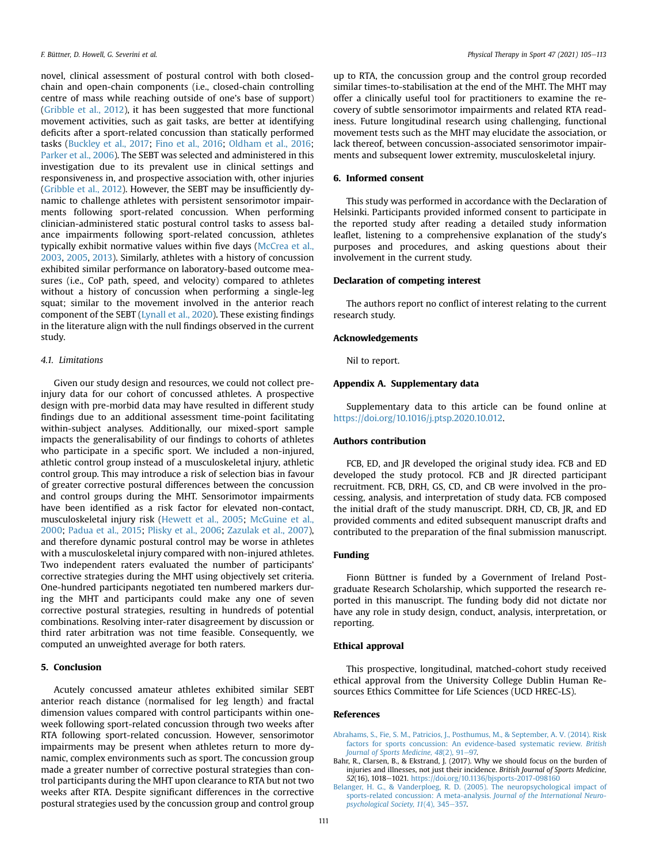novel, clinical assessment of postural control with both closedchain and open-chain components (i.e., closed-chain controlling centre of mass while reaching outside of one's base of support) ([Gribble et al., 2012](#page-7-21)), it has been suggested that more functional movement activities, such as gait tasks, are better at identifying deficits after a sport-related concussion than statically performed tasks ([Buckley et al., 2017](#page-7-46); [Fino et al., 2016;](#page-7-39) [Oldham et al., 2016;](#page-8-35) [Parker et al., 2006\)](#page-8-36). The SEBT was selected and administered in this investigation due to its prevalent use in clinical settings and responsiveness in, and prospective association with, other injuries ([Gribble et al., 2012](#page-7-21)). However, the SEBT may be insufficiently dynamic to challenge athletes with persistent sensorimotor impairments following sport-related concussion. When performing clinician-administered static postural control tasks to assess balance impairments following sport-related concussion, athletes typically exhibit normative values within five days ([McCrea et al.,](#page-8-3) [2003,](#page-8-3) [2005,](#page-8-4) [2013](#page-8-5)). Similarly, athletes with a history of concussion exhibited similar performance on laboratory-based outcome measures (i.e., CoP path, speed, and velocity) compared to athletes without a history of concussion when performing a single-leg squat; similar to the movement involved in the anterior reach component of the SEBT [\(Lynall et al., 2020](#page-8-34)). These existing findings in the literature align with the null findings observed in the current study.

# 4.1. Limitations

Given our study design and resources, we could not collect preinjury data for our cohort of concussed athletes. A prospective design with pre-morbid data may have resulted in different study findings due to an additional assessment time-point facilitating within-subject analyses. Additionally, our mixed-sport sample impacts the generalisability of our findings to cohorts of athletes who participate in a specific sport. We included a non-injured, athletic control group instead of a musculoskeletal injury, athletic control group. This may introduce a risk of selection bias in favour of greater corrective postural differences between the concussion and control groups during the MHT. Sensorimotor impairments have been identified as a risk factor for elevated non-contact, musculoskeletal injury risk ([Hewett et al., 2005;](#page-7-47) [McGuine et al.,](#page-8-37) [2000](#page-8-37); [Padua et al., 2015](#page-8-38); [Plisky et al., 2006;](#page-8-39) [Zazulak et al., 2007\)](#page-8-40), and therefore dynamic postural control may be worse in athletes with a musculoskeletal injury compared with non-injured athletes. Two independent raters evaluated the number of participants' corrective strategies during the MHT using objectively set criteria. One-hundred participants negotiated ten numbered markers during the MHT and participants could make any one of seven corrective postural strategies, resulting in hundreds of potential combinations. Resolving inter-rater disagreement by discussion or third rater arbitration was not time feasible. Consequently, we computed an unweighted average for both raters.

# 5. Conclusion

Acutely concussed amateur athletes exhibited similar SEBT anterior reach distance (normalised for leg length) and fractal dimension values compared with control participants within oneweek following sport-related concussion through two weeks after RTA following sport-related concussion. However, sensorimotor impairments may be present when athletes return to more dynamic, complex environments such as sport. The concussion group made a greater number of corrective postural strategies than control participants during the MHT upon clearance to RTA but not two weeks after RTA. Despite significant differences in the corrective postural strategies used by the concussion group and control group

up to RTA, the concussion group and the control group recorded similar times-to-stabilisation at the end of the MHT. The MHT may offer a clinically useful tool for practitioners to examine the recovery of subtle sensorimotor impairments and related RTA readiness. Future longitudinal research using challenging, functional movement tests such as the MHT may elucidate the association, or lack thereof, between concussion-associated sensorimotor impairments and subsequent lower extremity, musculoskeletal injury.

# 6. Informed consent

This study was performed in accordance with the Declaration of Helsinki. Participants provided informed consent to participate in the reported study after reading a detailed study information leaflet, listening to a comprehensive explanation of the study's purposes and procedures, and asking questions about their involvement in the current study.

# Declaration of competing interest

The authors report no conflict of interest relating to the current research study.

#### Acknowledgements

Nil to report.

# Appendix A. Supplementary data

Supplementary data to this article can be found online at <https://doi.org/10.1016/j.ptsp.2020.10.012>.

# Authors contribution

FCB, ED, and JR developed the original study idea. FCB and ED developed the study protocol. FCB and JR directed participant recruitment. FCB, DRH, GS, CD, and CB were involved in the processing, analysis, and interpretation of study data. FCB composed the initial draft of the study manuscript. DRH, CD, CB, JR, and ED provided comments and edited subsequent manuscript drafts and contributed to the preparation of the final submission manuscript.

### Funding

Fionn Büttner is funded by a Government of Ireland Postgraduate Research Scholarship, which supported the research reported in this manuscript. The funding body did not dictate nor have any role in study design, conduct, analysis, interpretation, or reporting.

# Ethical approval

This prospective, longitudinal, matched-cohort study received ethical approval from the University College Dublin Human Resources Ethics Committee for Life Sciences (UCD HREC-LS).

#### References

- <span id="page-6-1"></span>[Abrahams, S., Fie, S. M., Patricios, J., Posthumus, M., & September, A. V. \(2014\). Risk](http://refhub.elsevier.com/S1466-853X(20)30569-1/sref1) [factors for sports concussion: An evidence-based systematic review.](http://refhub.elsevier.com/S1466-853X(20)30569-1/sref1) British [Journal of Sports Medicine, 48](http://refhub.elsevier.com/S1466-853X(20)30569-1/sref1)(2), 91–[97.](http://refhub.elsevier.com/S1466-853X(20)30569-1/sref1)
- <span id="page-6-0"></span>Bahr, R., Clarsen, B., & Ekstrand, J. (2017). Why we should focus on the burden of injuries and illnesses, not just their incidence. British Journal of Sports Medicine, 52(16), 1018-1021. <https://doi.org/10.1136/bjsports-2017-098160>
- <span id="page-6-2"></span>[Belanger, H. G., & Vanderploeg, R. D. \(2005\). The neuropsychological impact of](http://refhub.elsevier.com/S1466-853X(20)30569-1/sref3) [sports-related concussion: A meta-analysis.](http://refhub.elsevier.com/S1466-853X(20)30569-1/sref3) Journal of the International Neuro[psychological Society, 11](http://refhub.elsevier.com/S1466-853X(20)30569-1/sref3)(4), 345-[357.](http://refhub.elsevier.com/S1466-853X(20)30569-1/sref3)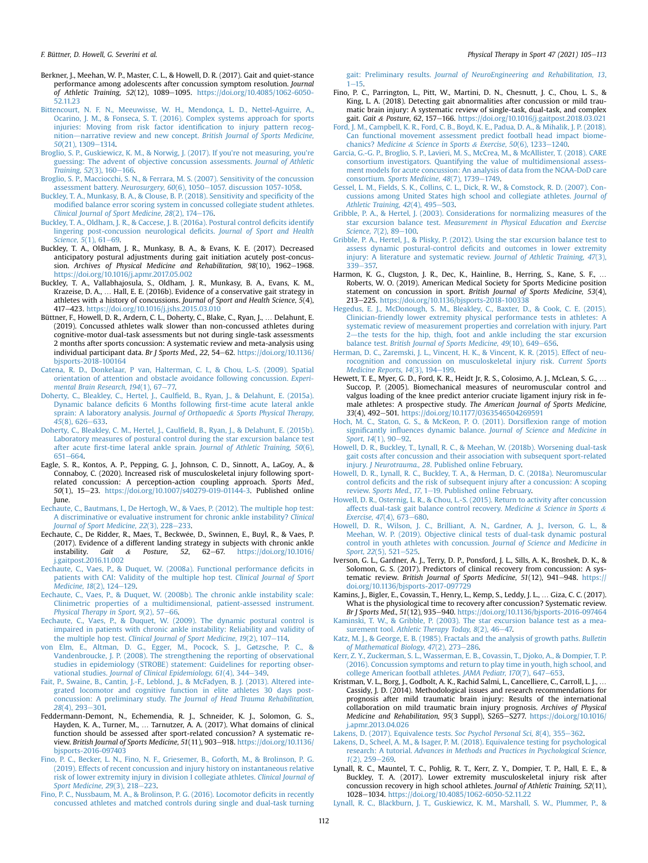- <span id="page-7-42"></span>Berkner, J., Meehan, W. P., Master, C. L., & Howell, D. R. (2017). Gait and quiet-stance performance among adolescents after concussion symptom resolution. Journal of Athletic Training, 52(12), 1089-1095. [https://doi.org/10.4085/1062-6050-](https://doi.org/10.4085/1062-6050-52.11.23) [52.11.23](https://doi.org/10.4085/1062-6050-52.11.23)
- <span id="page-7-40"></span>[Bittencourt, N. F. N., Meeuwisse, W. H., Mendonça, L. D., Nettel-Aguirre, A.,](http://refhub.elsevier.com/S1466-853X(20)30569-1/sref5) [Ocarino, J. M., & Fonseca, S. T. \(2016\). Complex systems approach for sports](http://refhub.elsevier.com/S1466-853X(20)30569-1/sref5) [injuries: Moving from risk factor identi](http://refhub.elsevier.com/S1466-853X(20)30569-1/sref5)fication to injury pattern recog[nition](http://refhub.elsevier.com/S1466-853X(20)30569-1/sref5)-[narrative review and new concept.](http://refhub.elsevier.com/S1466-853X(20)30569-1/sref5) British Journal of Sports Medicine,  $50(21)$ , 1309-1314
- <span id="page-7-10"></span>[Broglio, S. P., Guskiewicz, K. M., & Norwig, J. \(2017\). If you](http://refhub.elsevier.com/S1466-853X(20)30569-1/sref6)'re not measuring, you're [guessing: The advent of objective concussion assessments.](http://refhub.elsevier.com/S1466-853X(20)30569-1/sref6) Journal of Athletic [Training, 52](http://refhub.elsevier.com/S1466-853X(20)30569-1/sref6)(3), 160–[166](http://refhub.elsevier.com/S1466-853X(20)30569-1/sref6).
- <span id="page-7-9"></span>[Broglio, S. P., Macciocchi, S. N., & Ferrara, M. S. \(2007\). Sensitivity of the concussion](http://refhub.elsevier.com/S1466-853X(20)30569-1/sref7) [assessment battery.](http://refhub.elsevier.com/S1466-853X(20)30569-1/sref7) Neurosurgery, 60(6), 1050-[1057. discussion 1057-1058.](http://refhub.elsevier.com/S1466-853X(20)30569-1/sref7)
- <span id="page-7-11"></span>[Buckley, T. A., Munkasy, B. A., & Clouse, B. P. \(2018\). Sensitivity and speci](http://refhub.elsevier.com/S1466-853X(20)30569-1/sref8)ficity of the modifi[ed balance error scoring system in concussed collegiate student athletes.](http://refhub.elsevier.com/S1466-853X(20)30569-1/sref8) [Clinical Journal of Sport Medicine, 28](http://refhub.elsevier.com/S1466-853X(20)30569-1/sref8)(2), 174-[176](http://refhub.elsevier.com/S1466-853X(20)30569-1/sref8).
- <span id="page-7-13"></span>[Buckley, T. A., Oldham, J. R., & Caccese, J. B. \(2016a\). Postural control de](http://refhub.elsevier.com/S1466-853X(20)30569-1/sref9)ficits identify [lingering post-concussion neurological de](http://refhub.elsevier.com/S1466-853X(20)30569-1/sref9)ficits. Journal of Sport and Health<br>[Science, 5](http://refhub.elsevier.com/S1466-853X(20)30569-1/sref9)(1), 61–[69.](http://refhub.elsevier.com/S1466-853X(20)30569-1/sref9)
- <span id="page-7-46"></span>Buckley, T. A., Oldham, J. R., Munkasy, B. A., & Evans, K. E. (2017). Decreased anticipatory postural adjustments during gait initiation acutely post-concussion. Archives of Physical Medicine and Rehabilitation, 98(10), 1962-1968. <https://doi.org/10.1016/j.apmr.2017.05.002>
- <span id="page-7-36"></span>Buckley, T. A., Vallabhajosula, S., Oldham, J. R., Munkasy, B. A., Evans, K. M., Krazeise, D. A., … Hall, E. E. (2016b). Evidence of a conservative gait strategy in athletes with a history of concussions. Journal of Sport and Health Science, 5(4), 417-423. <https://doi.org/10.1016/j.jshs.2015.03.010>
- <span id="page-7-14"></span>Büttner, F., Howell, D. R., Ardern, C. L., Doherty, C., Blake, C., Ryan, J., … Delahunt, E. (2019). Concussed athletes walk slower than non-concussed athletes during cognitive-motor dual-task assessments but not during single-task assessments 2 months after sports concussion: A systematic review and meta-analysis using individual participant data. Br J Sports Med., 22, 54-62. [https://doi.org/10.1136/](https://doi.org/10.1136/bjsports-2018-100164) [bjsports-2018-100164](https://doi.org/10.1136/bjsports-2018-100164)
- <span id="page-7-37"></span>[Catena, R. D., Donkelaar, P van, Halterman, C. I., & Chou, L.-S. \(2009\). Spatial](http://refhub.elsevier.com/S1466-853X(20)30569-1/sref13) [orientation of attention and obstacle avoidance following concussion.](http://refhub.elsevier.com/S1466-853X(20)30569-1/sref13) Experi[mental Brain Research, 194](http://refhub.elsevier.com/S1466-853X(20)30569-1/sref13)(1), 67-[77.](http://refhub.elsevier.com/S1466-853X(20)30569-1/sref13)
- <span id="page-7-25"></span>Doherty, C., Bleakley, C., Hertel, J., Caulfi[eld, B., Ryan, J., & Delahunt, E. \(2015a\).](http://refhub.elsevier.com/S1466-853X(20)30569-1/sref14) Dynamic balance deficits 6 Months following fi[rst-time acute lateral ankle](http://refhub.elsevier.com/S1466-853X(20)30569-1/sref14) [sprain: A laboratory analysis.](http://refhub.elsevier.com/S1466-853X(20)30569-1/sref14) Journal of Orthopaedic & [Sports Physical Therapy,](http://refhub.elsevier.com/S1466-853X(20)30569-1/sref14)  $45(8)$ , 626-[633](http://refhub.elsevier.com/S1466-853X(20)30569-1/sref14).
- <span id="page-7-26"></span>[Doherty, C., Bleakley, C. M., Hertel, J., Caul](http://refhub.elsevier.com/S1466-853X(20)30569-1/sref15)field, B., Ryan, J., & Delahunt, E. (2015b). [Laboratory measures of postural control during the star excursion balance test](http://refhub.elsevier.com/S1466-853X(20)30569-1/sref15) after acute first-time lateral ankle sprain. [Journal of Athletic Training, 50](http://refhub.elsevier.com/S1466-853X(20)30569-1/sref15)(6), [651](http://refhub.elsevier.com/S1466-853X(20)30569-1/sref15)-[664.](http://refhub.elsevier.com/S1466-853X(20)30569-1/sref15)
- <span id="page-7-1"></span>Eagle, S. R., Kontos, A. P., Pepping, G. J., Johnson, C. D., Sinnott, A., LaGoy, A., & Connaboy, C. (2020). Increased risk of musculoskeletal injury following sportrelated concussion: A perception-action coupling approach. Sports Med., 50(1), 15-23. [https://doi.org/10.1007/s40279-019-01144-3.](https://doi.org/10.1007/s40279-019-01144-3) Published online **June.**
- <span id="page-7-31"></span>[Eechaute, C., Bautmans, I., De Hertogh, W., & Vaes, P. \(2012\). The multiple hop test:](http://refhub.elsevier.com/S1466-853X(20)30569-1/sref17) [A discriminative or evaluative instrument for chronic ankle instability?](http://refhub.elsevier.com/S1466-853X(20)30569-1/sref17) Clinical [Journal of Sport Medicine, 22](http://refhub.elsevier.com/S1466-853X(20)30569-1/sref17)(3), 228-[233](http://refhub.elsevier.com/S1466-853X(20)30569-1/sref17).
- <span id="page-7-32"></span>Eechaute, C., De Ridder, R., Maes, T., Beckwee, D., Swinnen, E., Buyl, R., & Vaes, P. (2017). Evidence of a different landing strategy in subjects with chronic ankle instability. *Gait* & *Posture*, 52, 62–67. https://doi.org/10.1016/ instability. Gait & Posture, 52, 62-67. [https://doi.org/10.1016/](https://doi.org/10.1016/j.gaitpost.2016.11.002) [j.gaitpost.2016.11.002](https://doi.org/10.1016/j.gaitpost.2016.11.002)
- <span id="page-7-28"></span>[Eechaute, C., Vaes, P., & Duquet, W. \(2008a\). Functional performance de](http://refhub.elsevier.com/S1466-853X(20)30569-1/sref19)ficits in [patients with CAI: Validity of the multiple hop test.](http://refhub.elsevier.com/S1466-853X(20)30569-1/sref19) Clinical Journal of Sport [Medicine, 18](http://refhub.elsevier.com/S1466-853X(20)30569-1/sref19)(2), 124-[129.](http://refhub.elsevier.com/S1466-853X(20)30569-1/sref19)
- <span id="page-7-29"></span>[Eechaute, C., Vaes, P., & Duquet, W. \(2008b\). The chronic ankle instability scale:](http://refhub.elsevier.com/S1466-853X(20)30569-1/sref20) [Clinimetric properties of a multidimensional, patient-assessed instrument.](http://refhub.elsevier.com/S1466-853X(20)30569-1/sref20) [Physical Therapy in Sport, 9](http://refhub.elsevier.com/S1466-853X(20)30569-1/sref20)(2), 57-[66.](http://refhub.elsevier.com/S1466-853X(20)30569-1/sref20)
- <span id="page-7-30"></span>[Eechaute, C., Vaes, P., & Duquet, W. \(2009\). The dynamic postural control is](http://refhub.elsevier.com/S1466-853X(20)30569-1/sref21) [impaired in patients with chronic ankle instability: Reliability and validity of](http://refhub.elsevier.com/S1466-853X(20)30569-1/sref21) the multiple hop test. [Clinical Journal of Sport Medicine, 19](http://refhub.elsevier.com/S1466-853X(20)30569-1/sref21)(2), 107-[114](http://refhub.elsevier.com/S1466-853X(20)30569-1/sref21).
- <span id="page-7-18"></span>[von Elm, E., Altman, D. G., Egger, M., Pocock, S. J., Gøtzsche, P. C., &](http://refhub.elsevier.com/S1466-853X(20)30569-1/sref22) [Vandenbroucke, J. P. \(2008\). The strengthening the reporting of observational](http://refhub.elsevier.com/S1466-853X(20)30569-1/sref22) [studies in epidemiology \(STROBE\) statement: Guidelines for reporting obser-](http://refhub.elsevier.com/S1466-853X(20)30569-1/sref22)vational studies. [Journal of Clinical Epidemiology, 61](http://refhub.elsevier.com/S1466-853X(20)30569-1/sref22)(4), 344-[349](http://refhub.elsevier.com/S1466-853X(20)30569-1/sref22).
- <span id="page-7-38"></span>[Fait, P., Swaine, B., Cantin, J.-F., Leblond, J., & McFadyen, B. J. \(2013\). Altered inte](http://refhub.elsevier.com/S1466-853X(20)30569-1/sref23)[grated locomotor and cognitive function in elite athletes 30 days post](http://refhub.elsevier.com/S1466-853X(20)30569-1/sref23)concussion: A preliminary study. [The Journal of Head Trauma Rehabilitation,](http://refhub.elsevier.com/S1466-853X(20)30569-1/sref23)  $28(4)$ ,  $293-301$ .
- <span id="page-7-4"></span>Feddermann-Demont, N., Echemendia, R. J., Schneider, K. J., Solomon, G. S., Hayden, K. A., Turner, M., … Tarnutzer, A. A. (2017). What domains of clinical function should be assessed after sport-related concussion? A systematic review. British Journal of Sports Medicine, 51(11), 903-918. [https://doi.org/10.1136/](https://doi.org/10.1136/bjsports-2016-097403) [bjsports-2016-097403](https://doi.org/10.1136/bjsports-2016-097403)
- <span id="page-7-41"></span>[Fino, P. C., Becker, L. N., Fino, N. F., Griesemer, B., Goforth, M., & Brolinson, P. G.](http://refhub.elsevier.com/S1466-853X(20)30569-1/sref25) [\(2019\). Effects of recent concussion and injury history on instantaneous relative](http://refhub.elsevier.com/S1466-853X(20)30569-1/sref25) [risk of lower extremity injury in division I collegiate athletes.](http://refhub.elsevier.com/S1466-853X(20)30569-1/sref25) Clinical Journal of [Sport Medicine, 29](http://refhub.elsevier.com/S1466-853X(20)30569-1/sref25)(3), 218-[223.](http://refhub.elsevier.com/S1466-853X(20)30569-1/sref25)
- <span id="page-7-39"></span>[Fino, P. C., Nussbaum, M. A., & Brolinson, P. G. \(2016\). Locomotor de](http://refhub.elsevier.com/S1466-853X(20)30569-1/sref26)ficits in recently [concussed athletes and matched controls during single and dual-task turning](http://refhub.elsevier.com/S1466-853X(20)30569-1/sref26)

gait: Preliminary results. [Journal of NeuroEngineering and Rehabilitation, 13](http://refhub.elsevier.com/S1466-853X(20)30569-1/sref26),  $1 - 15$  $1 - 15$ 

- <span id="page-7-35"></span>Fino, P. C., Parrington, L., Pitt, W., Martini, D. N., Chesnutt, J. C., Chou, L. S., & King, L. A. (2018). Detecting gait abnormalities after concussion or mild traumatic brain injury: A systematic review of single-task, dual-task, and complex gait. Gait & Posture, 62, 157-166. <https://doi.org/10.1016/j.gaitpost.2018.03.021>
- <span id="page-7-43"></span>[Ford, J. M., Campbell, K. R., Ford, C. B., Boyd, K. E., Padua, D. A., & Mihalik, J. P. \(2018\).](http://refhub.elsevier.com/S1466-853X(20)30569-1/sref28) [Can functional movement assessment predict football head impact biome-](http://refhub.elsevier.com/S1466-853X(20)30569-1/sref28)chanics? [Medicine](http://refhub.elsevier.com/S1466-853X(20)30569-1/sref28) & [Science in Sports](http://refhub.elsevier.com/S1466-853X(20)30569-1/sref28) & [Exercise, 50](http://refhub.elsevier.com/S1466-853X(20)30569-1/sref28)(6), 1233-[1240.](http://refhub.elsevier.com/S1466-853X(20)30569-1/sref28)
- <span id="page-7-6"></span>[Garcia, G.-G. P., Broglio, S. P., Lavieri, M. S., McCrea, M., & McAllister, T. \(2018\). CARE](http://refhub.elsevier.com/S1466-853X(20)30569-1/sref29) [consortium investigators. Quantifying the value of multidimensional assess](http://refhub.elsevier.com/S1466-853X(20)30569-1/sref29)[ment models for acute concussion: An analysis of data from the NCAA-DoD care](http://refhub.elsevier.com/S1466-853X(20)30569-1/sref29) consortium. [Sports Medicine, 48](http://refhub.elsevier.com/S1466-853X(20)30569-1/sref29)(7), 1739-[1749.](http://refhub.elsevier.com/S1466-853X(20)30569-1/sref29)<br>[Gessel, L. M., Fields, S. K., Collins, C. L., Dick, R. W., & Comstock, R. D. \(2007\). Con-](http://refhub.elsevier.com/S1466-853X(20)30569-1/sref30)
- <span id="page-7-7"></span>[cussions among United States high school and collegiate athletes.](http://refhub.elsevier.com/S1466-853X(20)30569-1/sref30) Journal of Athletic Training,  $42(4)$ ,  $495-503$ .
- <span id="page-7-22"></span>[Gribble, P. A., & Hertel, J. \(2003\). Considerations for normalizing measures of the](http://refhub.elsevier.com/S1466-853X(20)30569-1/sref31) star excursion balance test. [Measurement in Physical Education and Exercise](http://refhub.elsevier.com/S1466-853X(20)30569-1/sref31) [Science, 7](http://refhub.elsevier.com/S1466-853X(20)30569-1/sref31)(2), 89-[100.](http://refhub.elsevier.com/S1466-853X(20)30569-1/sref31)
- <span id="page-7-21"></span>[Gribble, P. A., Hertel, J., & Plisky, P. \(2012\). Using the star excursion balance test to](http://refhub.elsevier.com/S1466-853X(20)30569-1/sref32) assess dynamic postural-control defi[cits and outcomes in lower extremity](http://refhub.elsevier.com/S1466-853X(20)30569-1/sref32) [injury: A literature and systematic review.](http://refhub.elsevier.com/S1466-853X(20)30569-1/sref32) Journal of Athletic Training, 47(3), [339](http://refhub.elsevier.com/S1466-853X(20)30569-1/sref32)-[357.](http://refhub.elsevier.com/S1466-853X(20)30569-1/sref32)
- <span id="page-7-0"></span>Harmon, K. G., Clugston, J. R., Dec, K., Hainline, B., Herring, S., Kane, S. F., Roberts, W. O. (2019). American Medical Society for Sports Medicine position statement on concussion in sport. British Journal of Sports Medicine, 53(4), 213-225. <https://doi.org/10.1136/bjsports-2018-100338>
- <span id="page-7-24"></span>[Hegedus, E. J., McDonough, S. M., Bleakley, C., Baxter, D., & Cook, C. E. \(2015\).](http://refhub.elsevier.com/S1466-853X(20)30569-1/sref34) [Clinician-friendly lower extremity physical performance tests in athletes: A](http://refhub.elsevier.com/S1466-853X(20)30569-1/sref34) [systematic review of measurement properties and correlation with injury. Part](http://refhub.elsevier.com/S1466-853X(20)30569-1/sref34) [2](http://refhub.elsevier.com/S1466-853X(20)30569-1/sref34)-[the tests for the hip, thigh, foot and ankle including the star excursion](http://refhub.elsevier.com/S1466-853X(20)30569-1/sref34) balance test. [British Journal of Sports Medicine, 49](http://refhub.elsevier.com/S1466-853X(20)30569-1/sref34)(10), 649-[656.](http://refhub.elsevier.com/S1466-853X(20)30569-1/sref34)
- <span id="page-7-16"></span>[Herman, D. C., Zaremski, J. L., Vincent, H. K., & Vincent, K. R. \(2015\). Effect of neu](http://refhub.elsevier.com/S1466-853X(20)30569-1/sref35)[rocognition and concussion on musculoskeletal injury risk.](http://refhub.elsevier.com/S1466-853X(20)30569-1/sref35) Current Sports [Medicine Reports, 14](http://refhub.elsevier.com/S1466-853X(20)30569-1/sref35)(3), 194-[199](http://refhub.elsevier.com/S1466-853X(20)30569-1/sref35).
- <span id="page-7-47"></span>Hewett, T. E., Myer, G. D., Ford, K. R., Heidt Jr, R. S., Colosimo, A. J., McLean, S. G., Succop, P. (2005). Biomechanical measures of neuromuscular control and valgus loading of the knee predict anterior cruciate ligament injury risk in female athletes: A prospective study. The American Journal of Sports Medicine, 33(4), 492-501. <https://doi.org/10.1177/0363546504269591>
- <span id="page-7-23"></span>[Hoch, M. C., Staton, G. S., & McKeon, P. O. \(2011\). Dorsi](http://refhub.elsevier.com/S1466-853X(20)30569-1/sref37)flexion range of motion significantly influences dynamic balance. [Journal of Science and Medicine in](http://refhub.elsevier.com/S1466-853X(20)30569-1/sref37) [Sport, 14](http://refhub.elsevier.com/S1466-853X(20)30569-1/sref37)(1), 90-[92.](http://refhub.elsevier.com/S1466-853X(20)30569-1/sref37)
- <span id="page-7-3"></span>[Howell, D. R., Buckley, T., Lynall, R. C., & Meehan, W. \(2018b\). Worsening dual-task](http://refhub.elsevier.com/S1466-853X(20)30569-1/sref38) [gait costs after concussion and their association with subsequent sport-related](http://refhub.elsevier.com/S1466-853X(20)30569-1/sref38) injury. J Neurotrauma., 28[. Published online February.](http://refhub.elsevier.com/S1466-853X(20)30569-1/sref38)
- <span id="page-7-2"></span>[Howell, D. R., Lynall, R. C., Buckley, T. A., & Herman, D. C. \(2018a\). Neuromuscular](http://refhub.elsevier.com/S1466-853X(20)30569-1/sref39) control defi[cits and the risk of subsequent injury after a concussion: A scoping](http://refhub.elsevier.com/S1466-853X(20)30569-1/sref39) review. [Sports Med., 17](http://refhub.elsevier.com/S1466-853X(20)30569-1/sref39), 1-[19. Published online February.](http://refhub.elsevier.com/S1466-853X(20)30569-1/sref39)
- <span id="page-7-15"></span>[Howell, D. R., Osternig, L. R., & Chou, L.-S. \(2015\). Return to activity after concussion](http://refhub.elsevier.com/S1466-853X(20)30569-1/sref40) [affects dual-task gait balance control recovery.](http://refhub.elsevier.com/S1466-853X(20)30569-1/sref40) Medicine & [Science in Sports](http://refhub.elsevier.com/S1466-853X(20)30569-1/sref40) & [Exercise, 47](http://refhub.elsevier.com/S1466-853X(20)30569-1/sref40)(4), 673-[680](http://refhub.elsevier.com/S1466-853X(20)30569-1/sref40).
- <span id="page-7-44"></span>[Howell, D. R., Wilson, J. C., Brilliant, A. N., Gardner, A. J., Iverson, G. L., &](http://refhub.elsevier.com/S1466-853X(20)30569-1/sref41) [Meehan, W. P. \(2019\). Objective clinical tests of dual-task dynamic postural](http://refhub.elsevier.com/S1466-853X(20)30569-1/sref41) [control in youth athletes with concussion.](http://refhub.elsevier.com/S1466-853X(20)30569-1/sref41) Journal of Science and Medicine in [Sport, 22](http://refhub.elsevier.com/S1466-853X(20)30569-1/sref41)(5), 521-[525](http://refhub.elsevier.com/S1466-853X(20)30569-1/sref41).
- <span id="page-7-19"></span>Iverson, G. L., Gardner, A. J., Terry, D. P., Ponsford, J. L., Sills, A. K., Broshek, D. K., & Solomon, G. S. (2017). Predictors of clinical recovery from concussion: A systematic review. British Journal of Sports Medicine, 51(12), 941-948. [https://](https://doi.org/10.1136/bjsports-2017-097729) [doi.org/10.1136/bjsports-2017-097729](https://doi.org/10.1136/bjsports-2017-097729)
- <span id="page-7-12"></span>Kamins, J., Bigler, E., Covassin, T., Henry, L., Kemp, S., Leddy, J. L., … Giza, C. C. (2017). What is the physiological time to recovery after concussion? Systematic review.

<span id="page-7-20"></span>Br J Sports Med., 51(12), 935-940. <https://doi.org/10.1136/bjsports-2016-097464> [Kaminski, T. W., & Gribble, P. \(2003\). The star excursion balance test as a mea-](http://refhub.elsevier.com/S1466-853X(20)30569-1/sref44)surement tool. [Athletic Therapy Today, 8](http://refhub.elsevier.com/S1466-853X(20)30569-1/sref44)(2), 46-[47.](http://refhub.elsevier.com/S1466-853X(20)30569-1/sref44)

- <span id="page-7-27"></span>[Katz, M. J., & George, E. B. \(1985\). Fractals and the analysis of growth paths.](http://refhub.elsevier.com/S1466-853X(20)30569-1/sref45) Bulletin of Mathematical Biology,  $47(2)$ , 273-[286](http://refhub.elsevier.com/S1466-853X(20)30569-1/sref45).
- <span id="page-7-8"></span>[Kerr, Z. Y., Zuckerman, S. L., Wasserman, E. B., Covassin, T., Djoko, A., & Dompier, T. P.](http://refhub.elsevier.com/S1466-853X(20)30569-1/sref46) [\(2016\). Concussion symptoms and return to play time in youth, high school, and](http://refhub.elsevier.com/S1466-853X(20)30569-1/sref46) [college American football athletes.](http://refhub.elsevier.com/S1466-853X(20)30569-1/sref46) JAMA Pediatr, 170(7), 647-[653](http://refhub.elsevier.com/S1466-853X(20)30569-1/sref46).
- <span id="page-7-5"></span>Kristman, V. L., Borg, J., Godbolt, A. K., Rachid Salmi, L., Cancelliere, C., Carroll, L. J., Cassidy, J. D. (2014). Methodological issues and research recommendations for prognosis after mild traumatic brain injury: Results of the international collaboration on mild traumatic brain injury prognosis. Archives of Physical<br>Medicine and Rehabilitation, 95(3 Suppl), S265–S277. [https://doi.org/10.1016/](https://doi.org/10.1016/j.apmr.2013.04.026) [j.apmr.2013.04.026](https://doi.org/10.1016/j.apmr.2013.04.026)

<span id="page-7-33"></span>[Lakens, D. \(2017\). Equivalence tests.](http://refhub.elsevier.com/S1466-853X(20)30569-1/sref48) Soc Psychol Personal Sci, 8(4), 355-[362](http://refhub.elsevier.com/S1466-853X(20)30569-1/sref48).

- <span id="page-7-34"></span>[Lakens, D., Scheel, A. M., & Isager, P. M. \(2018\). Equivalence testing for psychological](http://refhub.elsevier.com/S1466-853X(20)30569-1/sref49) research: A tutorial. [Advances in Methods and Practices in Psychological Science,](http://refhub.elsevier.com/S1466-853X(20)30569-1/sref49)  $1(2)$ ,  $259 - 269$  $259 - 269$
- <span id="page-7-17"></span>Lynall, R. C., Mauntel, T. C., Pohlig, R. T., Kerr, Z. Y., Dompier, T. P., Hall, E. E., & Buckley, T. A. (2017). Lower extremity musculoskeletal injury risk after concussion recovery in high school athletes. Journal of Athletic Training, 52(11), 1028e1034. <https://doi.org/10.4085/1062-6050-52.11.22>

<span id="page-7-45"></span>[Lynall, R. C., Blackburn, J. T., Guskiewicz, K. M., Marshall, S. W., Plummer, P., &](http://refhub.elsevier.com/S1466-853X(20)30569-1/sref50)